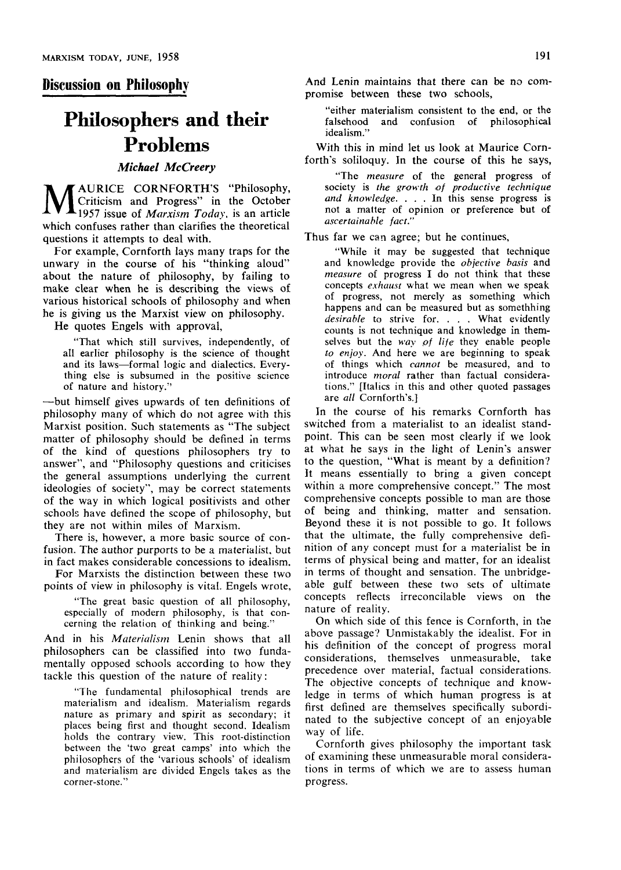### **Discussion on Philosophy**

# **Philosophers and their Problems**

## *Michael McCreery*

**M** Criticism and Progress" in the October 1957 issue of *Marxism Today*, is an article AURICE CORNFORTH'S "Philosophy, Criticism and Progress" in the October which confuses rather than clarifies the theoretical questions it attempts to deal with.

For example, Cornforth lays many traps for the unwary in the course of his "thinking aloud" about the nature of philosophy, by failing to make clear when he is describing the views of various historical schools of philosophy and when he is giving us the Marxist view on philosophy.

He quotes Engels with approval,

"That which still survives, independently, of all earlier philosophy is the science of thought and its laws—formal logic and dialectics. Everything else is subsumed in the positive science of nature and history."

—but himself gives upwards of ten definitions of philosophy many of which do not agree with this Marxist position. Such statements as "The subject matter of philosophy should be defined in terms of the kind of questions philosophers try to answer", and "Philosophy questions and criticises the general assumptions underlying the current ideologies of society", may be correct statements of the way in which logical positivists and other schools have defined the scope of philosophy, but they are not within miles of Marxism.

There is, however, a more basic source of confusion. The author purports to be a materialist, but in fact makes considerable concessions to idealism.

For Marxists the distinction between these two points of view in philosophy is vital. Engels wrote,

"The great basic question of all philosophy, especially of modern philosophy, is that concerning the relation of thinking and being."

And in his *Materialism* Lenin shows that all philosophers can be classified into two fundamentally opposed schools according to how they tackle this question of the nature of reality:

"The fundamental philosophical trends are materialism and idealism. Materialism regards nature as primary and spirit as secondary; it places being first and thought second. Idealism holds the contrary view. This root-distinction between the 'two great camps' into which the philosophers of the 'various schools' of idealism and materialism are divided Engels takes as the corner-stone."

And Lenin maintains that there can be no compromise between these two schools,

"either materialism consistent to the end, or the falsehood and confusion of philosophical idealism."

With this in mind let us look at Maurice Cornforth's soliloquy. In the course of this he says,

"The *measure* of the general progress of society is the growth of productive technique and knowledge. . . . In this sense progress is not a matter of opinion or preference but of  $ascertained$  *le* fact.'

Thus far we can agree; but he continues,

"While it may be suggested that technique and knowledge provide the *objective basis* and *measure* of progress I do not think that these concepts *exhaust* what we mean when we speak of progress, not merely as something which happens and can be measured but as somethhing *desirable* to sirive for. . . . What evidently counts is not technique and knowledge in themselves but the *way of life* they enable people to enjoy. And here we are beginning to speak of things which *cannot* be measured, and to introduce *moral* rather than factual considerations." [Italics in this and other quoted passages are all Cornforth's.]

In the course of his remarks Cornforth has switched from a materialist to an idealist standpoint. This can be seen most clearly if we look at what he says in the light of Lenin's answer at what he says in the light of Lenni's answer to the question, "What is meant by a definition? It means essentially to bring a given concept within a more comprehensive concept. The most comprehensive concepts possible to man are those of being and thinking, matter and sensation. Beyond these it is not possible to go. It follows that the ultimate, the fully comprehensive definition of any concept must for a materialist be in terms of physical being and matter, for an idealist in terms of thought and sensation. The unbridgeable gulf between these two sets of ultimate concepts reflects irreconcilable views on the nature of reality.

On which side of this fence is Cornforth, in the above passage? Unmistakably the idealist. For in his definition of the concept of progress moral considerations, themselves unmeasurable, take precedence over material, factual considerations. The objective concepts of technique and knowledge in terms of which human progress is at first defined are themselves specifically subordinated to the subjective concept of an enjoyable way of life.

Cornforth gives philosophy the important task of examining these unmeasurable moral considerations in terms of which we are to assess human progress.